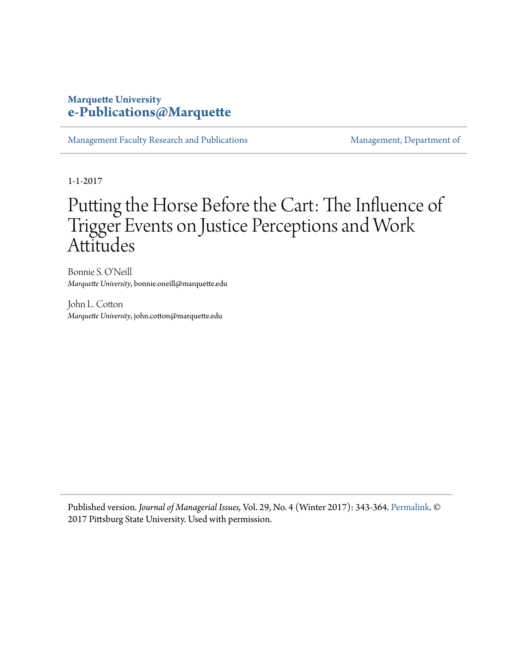### **Marquette University [e-Publications@Marquette](https://epublications.marquette.edu)**

[Management Faculty Research and Publications](https://epublications.marquette.edu/mgmt_fac) [Management, Department of](https://epublications.marquette.edu/mgmt)

1-1-2017

# Putting the Horse Before the Cart: The Influence of Trigger Events on Justice Perceptions and Work Attitudes

Bonnie S. O'Neill *Marquette University*, bonnie.oneill@marquette.edu

John L. Cotton *Marquette University*, john.cotton@marquette.edu

Published version. *Journal of Managerial Issues,* Vol. 29, No. 4 (Winter 2017): 343-364. [Permalink.](http://www.pittstate.edu/business/journal-of-managerial-issues) © 2017 Pittsburg State University. Used with permission.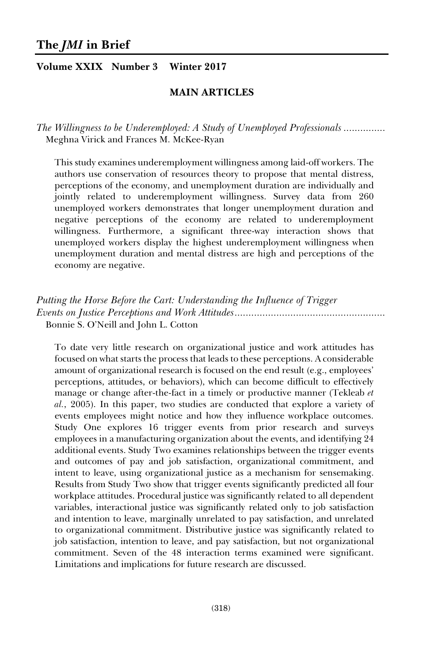*Putting the Horse Before the Cart: Understanding the Influence of Trigger Events on Justice Perceptions and Work Attitudes ......................................................*  Bonnie S. O'Neill and John L. Cotton

To date very little research on organizational justice and work attitudes has focused on what starts the process that leads to these perceptions. A considerable amount of organizational research is focused on the end result (e.g., employees' perceptions, attitudes, or behaviors), which can become difficult to effectively manage or change after-the-fact in a timely or productive manner (Tekleab *et al.*, 2005). In this paper, two studies are conducted that explore a variety of events employees might notice and how they influence workplace outcomes. Study One explores 16 trigger events from prior research and surveys employees in a manufacturing organization about the events, and identifying 24 additional events. Study Two examines relationships between the trigger events and outcomes of pay and job satisfaction, organizational commitment, and intent to leave, using organizational justice as a mechanism for sensemaking. Results from Study Two show that trigger events significantly predicted all four workplace attitudes. Procedural justice was significantly related to all dependent variables, interactional justice was significantly related only to job satisfaction and intention to leave, marginally unrelated to pay satisfaction, and unrelated to organizational commitment. Distributive justice was significantly related to job satisfaction, intention to leave, and pay satisfaction, but not organizational commitment. Seven of the 48 interaction terms examined were significant. Limitations and implications for future research are discussed.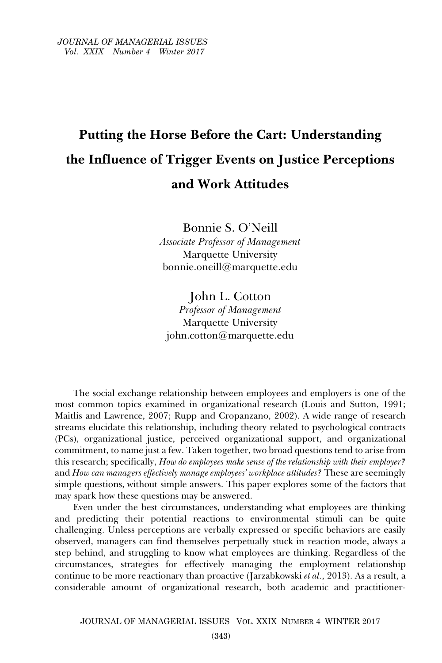## **Putting the Horse Before the Cart: Understanding the Influence of Trigger Events on Justice Perceptions and Work Attitudes**

Bonnie S. O'Neill *Associate Professor of Management*  Marquette University bonnie.oneill@marquette.edu

John L. Cotton *Professor of Management*  Marquette University john.cotton@marquette.edu

The social exchange relationship between employees and employers is one of the most common topics examined in organizational research (Louis and Sutton, 1991; Maitlis and Lawrence, 2007; Rupp and Cropanzano, 2002). A wide range of research streams elucidate this relationship, including theory related to psychological contracts (PCs), organizational justice, perceived organizational support, and organizational commitment, to name just a few. Taken together, two broad questions tend to arise from this research; specifically, *How do employees make sense of the relationship with their employer?* and *How can managers effectively manage employees' workplace attitudes?* These are seemingly simple questions, without simple answers. This paper explores some of the factors that may spark how these questions may be answered.

Even under the best circumstances, understanding what employees are thinking and predicting their potential reactions to environmental stimuli can be quite challenging. Unless perceptions are verbally expressed or specific behaviors are easily observed, managers can find themselves perpetually stuck in reaction mode, always a step behind, and struggling to know what employees are thinking. Regardless of the circumstances, strategies for effectively managing the employment relationship continue to be more reactionary than proactive (Jarzabkowski *et al.*, 2013). As a result, a considerable amount of organizational research, both academic and practitioner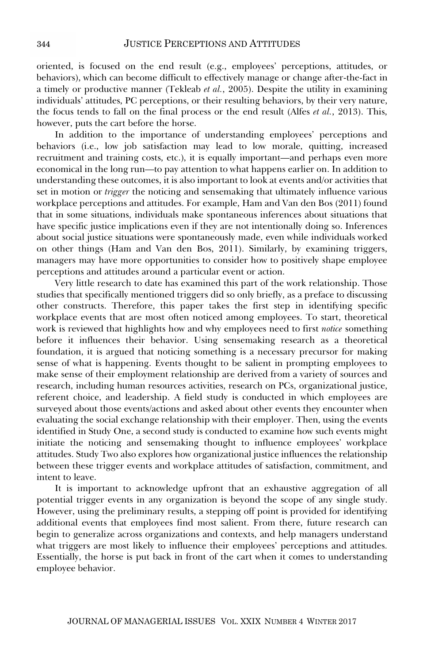oriented, is focused on the end result (e.g., employees' perceptions, attitudes, or behaviors), which can become difficult to effectively manage or change after-the-fact in a timely or productive manner (Tekleab *et al.*, 2005). Despite the utility in examining individuals' attitudes, PC perceptions, or their resulting behaviors, by their very nature, the focus tends to fall on the final process or the end result (Alfes *et al.*, 2013). This, however, puts the cart before the horse.

In addition to the importance of understanding employees' perceptions and behaviors (i.e., low job satisfaction may lead to low morale, quitting, increased recruitment and training costs, etc.), it is equally important—and perhaps even more economical in the long run—to pay attention to what happens earlier on. In addition to understanding these outcomes, it is also important to look at events and/or activities that set in motion or *trigger* the noticing and sensemaking that ultimately influence various workplace perceptions and attitudes. For example, Ham and Van den Bos (2011) found that in some situations, individuals make spontaneous inferences about situations that have specific justice implications even if they are not intentionally doing so. Inferences about social justice situations were spontaneously made, even while individuals worked on other things (Ham and Van den Bos, 2011). Similarly, by examining triggers, managers may have more opportunities to consider how to positively shape employee perceptions and attitudes around a particular event or action.

Very little research to date has examined this part of the work relationship. Those studies that specifically mentioned triggers did so only briefly, as a preface to discussing other constructs. Therefore, this paper takes the first step in identifying specific workplace events that are most often noticed among employees. To start, theoretical work is reviewed that highlights how and why employees need to first *notice* something before it influences their behavior. Using sensemaking research as a theoretical foundation, it is argued that noticing something is a necessary precursor for making sense of what is happening. Events thought to be salient in prompting employees to make sense of their employment relationship are derived from a variety of sources and research, including human resources activities, research on PCs, organizational justice, referent choice, and leadership. A field study is conducted in which employees are surveyed about those events/actions and asked about other events they encounter when evaluating the social exchange relationship with their employer. Then, using the events identified in Study One, a second study is conducted to examine how such events might initiate the noticing and sensemaking thought to influence employees' workplace attitudes. Study Two also explores how organizational justice influences the relationship between these trigger events and workplace attitudes of satisfaction, commitment, and intent to leave.

It is important to acknowledge upfront that an exhaustive aggregation of all potential trigger events in any organization is beyond the scope of any single study. However, using the preliminary results, a stepping off point is provided for identifying additional events that employees find most salient. From there, future research can begin to generalize across organizations and contexts, and help managers understand what triggers are most likely to influence their employees' perceptions and attitudes. Essentially, the horse is put back in front of the cart when it comes to understanding employee behavior.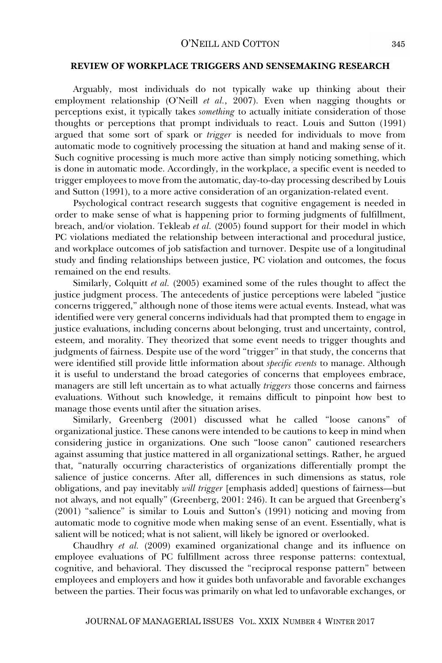#### **REVIEW OF WORKPLACE TRIGGERS AND SENSEMAKING RESEARCH**

Arguably, most individuals do not typically wake up thinking about their employment relationship (O'Neill *et al.*, 2007). Even when nagging thoughts or perceptions exist, it typically takes *something* to actually initiate consideration of those thoughts or perceptions that prompt individuals to react. Louis and Sutton (1991) argued that some sort of spark or *trigger* is needed for individuals to move from automatic mode to cognitively processing the situation at hand and making sense of it. Such cognitive processing is much more active than simply noticing something, which is done in automatic mode. Accordingly, in the workplace, a specific event is needed to trigger employees to move from the automatic, day-to-day processing described by Louis and Sutton (1991), to a more active consideration of an organization-related event.

Psychological contract research suggests that cognitive engagement is needed in order to make sense of what is happening prior to forming judgments of fulfillment, breach, and/or violation. Tekleab *et al.* (2005) found support for their model in which PC violations mediated the relationship between interactional and procedural justice, and workplace outcomes of job satisfaction and turnover. Despite use of a longitudinal study and finding relationships between justice, PC violation and outcomes, the focus remained on the end results.

Similarly, Colquitt *et al.* (2005) examined some of the rules thought to affect the justice judgment process. The antecedents of justice perceptions were labeled "justice concerns triggered," although none of those items were actual events. Instead, what was identified were very general concerns individuals had that prompted them to engage in justice evaluations, including concerns about belonging, trust and uncertainty, control, esteem, and morality. They theorized that some event needs to trigger thoughts and judgments of fairness. Despite use of the word "trigger" in that study, the concerns that were identified still provide little information about *specific events* to manage. Although it is useful to understand the broad categories of concerns that employees embrace, managers are still left uncertain as to what actually *triggers* those concerns and fairness evaluations. Without such knowledge, it remains difficult to pinpoint how best to manage those events until after the situation arises.

Similarly, Greenberg (2001) discussed what he called "loose canons" of organizational justice. These canons were intended to be cautions to keep in mind when considering justice in organizations. One such "loose canon" cautioned researchers against assuming that justice mattered in all organizational settings. Rather, he argued that, "naturally occurring characteristics of organizations differentially prompt the salience of justice concerns. After all, differences in such dimensions as status, role obligations, and pay inevitably *will trigger* [emphasis added] questions of fairness—but not always, and not equally" (Greenberg, 2001: 246). It can be argued that Greenberg's (2001) "salience" is similar to Louis and Sutton's (1991) noticing and moving from automatic mode to cognitive mode when making sense of an event. Essentially, what is salient will be noticed; what is not salient, will likely be ignored or overlooked.

Chaudhry *et al.* (2009) examined organizational change and its influence on employee evaluations of PC fulfillment across three response patterns: contextual, cognitive, and behavioral. They discussed the "reciprocal response pattern" between employees and employers and how it guides both unfavorable and favorable exchanges between the parties. Their focus was primarily on what led to unfavorable exchanges, or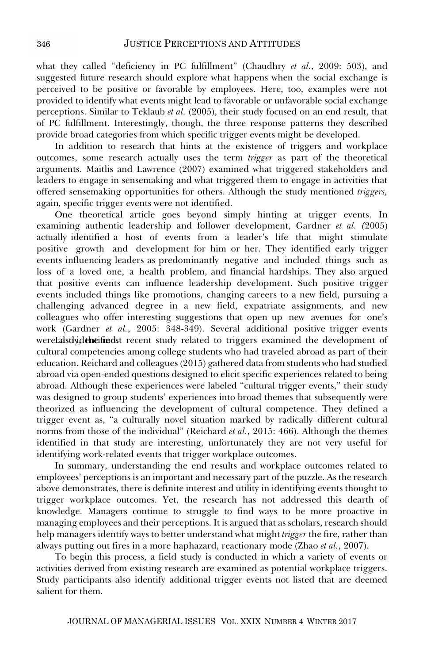what they called "deficiency in PC fulfillment" (Chaudhry *et al.*, 2009: 503), and suggested future research should explore what happens when the social exchange is perceived to be positive or favorable by employees. Here, too, examples were not provided to identify what events might lead to favorable or unfavorable social exchange perceptions. Similar to Teklaub *et al.* (2005), their study focused on an end result, that of PC fulfillment. Interestingly, though, the three response patterns they described provide broad categories from which specific trigger events might be developed.

In addition to research that hints at the existence of triggers and workplace outcomes, some research actually uses the term *trigger* as part of the theoretical arguments. Maitlis and Lawrence (2007) examined what triggered stakeholders and leaders to engage in sensemaking and what triggered them to engage in activities that offered sensemaking opportunities for others. Although the study mentioned *triggers,*  again*,* specific trigger events were not identified.

One theoretical article goes beyond simply hinting at trigger events. In examining authentic leadership and follower development, Gardner *et al. (*2005) actually identified a host of events from a leader's life that might stimulate positive growth and development for him or her. They identified early trigger events influencing leaders as predominantly negative and included things such as loss of a loved one, a health problem, and financial hardships. They also argued that positive events can influence leadership development. Such positive trigger events included things like promotions, changing careers to a new field, pursuing a challenging advanced degree in a new field, expatriate assignments, and new colleagues who offer interesting suggestions that open up new avenues for one's work (Gardner *et al.*, 2005: 348-349). Several additional positive trigger events werelalstlydeheifinedst recent study related to triggers examined the development of cultural competencies among college students who had traveled abroad as part of their education. Reichard and colleagues (2015) gathered data from students who had studied abroad via open-ended questions designed to elicit specific experiences related to being abroad. Although these experiences were labeled "cultural trigger events," their study was designed to group students' experiences into broad themes that subsequently were theorized as influencing the development of cultural competence. They defined a trigger event as, "a culturally novel situation marked by radically different cultural norms from those of the individual" (Reichard *et al.*, 2015: 466). Although the themes identified in that study are interesting, unfortunately they are not very useful for identifying work-related events that trigger workplace outcomes.

In summary, understanding the end results and workplace outcomes related to employees' perceptions is an important and necessary part of the puzzle. As the research above demonstrates, there is definite interest and utility in identifying events thought to trigger workplace outcomes. Yet, the research has not addressed this dearth of knowledge. Managers continue to struggle to find ways to be more proactive in managing employees and their perceptions. It is argued that as scholars, research should help managers identify ways to better understand what might *trigger* the fire, rather than always putting out fires in a more haphazard, reactionary mode (Zhao *et al.*, 2007).

To begin this process, a field study is conducted in which a variety of events or activities derived from existing research are examined as potential workplace triggers. Study participants also identify additional trigger events not listed that are deemed salient for them.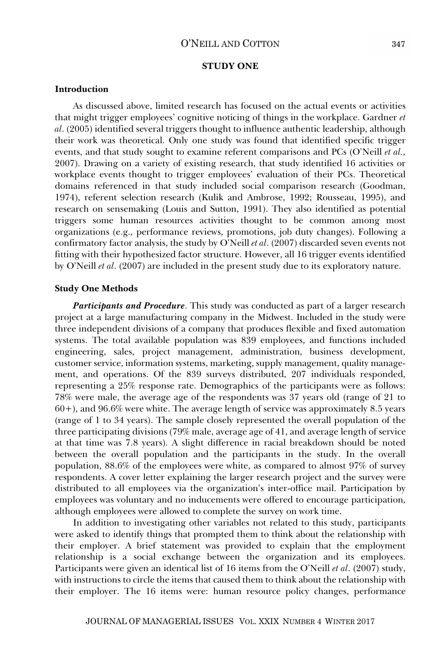#### O'NEILL AND COTTON

#### **STUDY ONE**

#### **Introduction**

As discussed above, limited research has focused on the actual events or activities that might trigger employees' cognitive noticing of things in the workplace. Gardner *et al*. (2005) identified several triggers thought to influence authentic leadership, although their work was theoretical. Only one study was found that identified specific trigger events, and that study sought to examine referent comparisons and PCs (O'Neill *et al.*, 2007). Drawing on a variety of existing research, that study identified 16 activities or workplace events thought to trigger employees' evaluation of their PCs. Theoretical domains referenced in that study included social comparison research (Goodman, 1974), referent selection research (Kulik and Ambrose, 1992; Rousseau, 1995), and research on sensemaking (Louis and Sutton, 1991). They also identified as potential triggers some human resources activities thought to be common among most organizations (e.g., performance reviews, promotions, job duty changes). Following a confirmatory factor analysis, the study by O'Neill *et al*. (2007) discarded seven events not fitting with their hypothesized factor structure. However, all 16 trigger events identified by O'Neill *et al*. (2007) are included in the present study due to its exploratory nature.

#### **Study One Methods**

*Participants and Procedure*. This study was conducted as part of a larger research project at a large manufacturing company in the Midwest. Included in the study were three independent divisions of a company that produces flexible and fixed automation systems. The total available population was 839 employees, and functions included engineering, sales, project management, administration, business development, customer service, information systems, marketing, supply management, quality management, and operations. Of the 839 surveys distributed, 207 individuals responded, representing a 25% response rate. Demographics of the participants were as follows: 78% were male, the average age of the respondents was 37 years old (range of 21 to 60+), and 96.6% were white. The average length of service was approximately 8.5 years (range of 1 to 34 years). The sample closely represented the overall population of the three participating divisions (79% male, average age of 41, and average length of service at that time was 7.8 years). A slight difference in racial breakdown should be noted between the overall population and the participants in the study. In the overall population, 88.6% of the employees were white, as compared to almost 97% of survey respondents. A cover letter explaining the larger research project and the survey were distributed to all employees via the organization's inter-office mail. Participation by employees was voluntary and no inducements were offered to encourage participation, although employees were allowed to complete the survey on work time.

In addition to investigating other variables not related to this study, participants were asked to identify things that prompted them to think about the relationship with their employer. A brief statement was provided to explain that the employment relationship is a social exchange between the organization and its employees. Participants were given an identical list of 16 items from the O'Neill *et al*. (2007) study, with instructions to circle the items that caused them to think about the relationship with their employer. The 16 items were: human resource policy changes, performance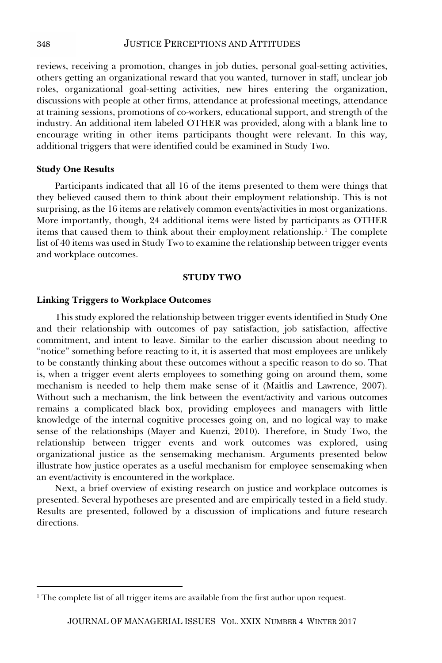reviews, receiving a promotion, changes in job duties, personal goal-setting activities, others getting an organizational reward that you wanted, turnover in staff, unclear job roles, organizational goal-setting activities, new hires entering the organization, discussions with people at other firms, attendance at professional meetings, attendance at training sessions, promotions of co-workers, educational support, and strength of the industry. An additional item labeled OTHER was provided, along with a blank line to encourage writing in other items participants thought were relevant. In this way, additional triggers that were identified could be examined in Study Two.

#### **Study One Results**

Participants indicated that all 16 of the items presented to them were things that they believed caused them to think about their employment relationship. This is not surprising, as the 16 items are relatively common events/activities in most organizations. More importantly, though, 24 additional items were listed by participants as OTHER items that caused them to think about their employment relationship. 1 The complete list of 40 items was used in Study Two to examine the relationship between trigger events and workplace outcomes.

#### **STUDY TWO**

#### **Linking Triggers to Workplace Outcomes**

This study explored the relationship between trigger events identified in Study One and their relationship with outcomes of pay satisfaction, job satisfaction, affective commitment, and intent to leave. Similar to the earlier discussion about needing to "notice" something before reacting to it, it is asserted that most employees are unlikely to be constantly thinking about these outcomes without a specific reason to do so. That is, when a trigger event alerts employees to something going on around them, some mechanism is needed to help them make sense of it (Maitlis and Lawrence, 2007). Without such a mechanism, the link between the event/activity and various outcomes remains a complicated black box, providing employees and managers with little knowledge of the internal cognitive processes going on, and no logical way to make sense of the relationships (Mayer and Kuenzi, 2010). Therefore, in Study Two, the relationship between trigger events and work outcomes was explored, using organizational justice as the sensemaking mechanism. Arguments presented below illustrate how justice operates as a useful mechanism for employee sensemaking when an event/activity is encountered in the workplace.

Next, a brief overview of existing research on justice and workplace outcomes is presented. Several hypotheses are presented and are empirically tested in a field study. Results are presented, followed by a discussion of implications and future research directions.

<sup>1</sup> The complete list of all trigger items are available from the first author upon request.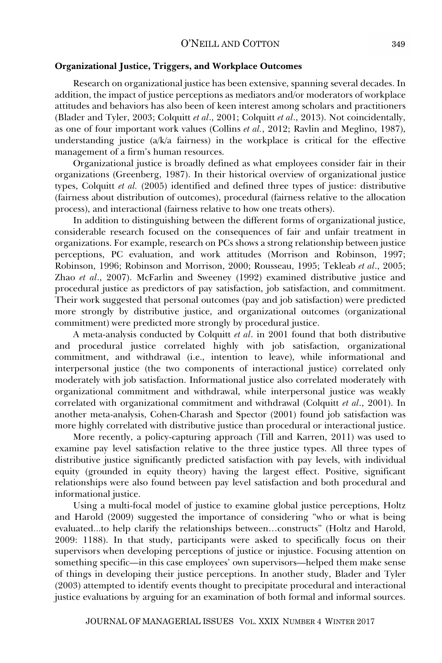#### **Organizational Justice, Triggers, and Workplace Outcomes**

Research on organizational justice has been extensive, spanning several decades. In addition, the impact of justice perceptions as mediators and/or moderators of workplace attitudes and behaviors has also been of keen interest among scholars and practitioners (Blader and Tyler, 2003; Colquitt *et al*., 2001; Colquitt *et al*., 2013). Not coincidentally, as one of four important work values (Collins *et al.*, 2012; Ravlin and Meglino, 1987), understanding justice  $(a/k/a)$  fairness) in the workplace is critical for the effective management of a firm's human resources.

Organizational justice is broadly defined as what employees consider fair in their organizations (Greenberg, 1987). In their historical overview of organizational justice types, Colquitt *et al.* (2005) identified and defined three types of justice: distributive (fairness about distribution of outcomes), procedural (fairness relative to the allocation process), and interactional (fairness relative to how one treats others).

In addition to distinguishing between the different forms of organizational justice, considerable research focused on the consequences of fair and unfair treatment in organizations. For example, research on PCs shows a strong relationship between justice perceptions, PC evaluation, and work attitudes (Morrison and Robinson, 1997; Robinson, 1996; Robinson and Morrison, 2000; Rousseau, 1995; Tekleab *et al*., 2005; Zhao *et al*., 2007). McFarlin and Sweeney (1992) examined distributive justice and procedural justice as predictors of pay satisfaction, job satisfaction, and commitment. Their work suggested that personal outcomes (pay and job satisfaction) were predicted more strongly by distributive justice, and organizational outcomes (organizational commitment) were predicted more strongly by procedural justice.

A meta-analysis conducted by Colquitt *et al*. in 2001 found that both distributive and procedural justice correlated highly with job satisfaction, organizational commitment, and withdrawal (i.e., intention to leave), while informational and interpersonal justice (the two components of interactional justice) correlated only moderately with job satisfaction. Informational justice also correlated moderately with organizational commitment and withdrawal, while interpersonal justice was weakly correlated with organizational commitment and withdrawal (Colquitt *et al*., 2001). In another meta-analysis, Cohen-Charash and Spector (2001) found job satisfaction was more highly correlated with distributive justice than procedural or interactional justice.

More recently, a policy-capturing approach (Till and Karren, 2011) was used to examine pay level satisfaction relative to the three justice types. All three types of distributive justice significantly predicted satisfaction with pay levels, with individual equity (grounded in equity theory) having the largest effect. Positive, significant relationships were also found between pay level satisfaction and both procedural and informational justice.

Using a multi-focal model of justice to examine global justice perceptions, Holtz and Harold (2009) suggested the importance of considering "who or what is being evaluated...to help clarify the relationships between…constructs" (Holtz and Harold, 2009: 1188). In that study, participants were asked to specifically focus on their supervisors when developing perceptions of justice or injustice. Focusing attention on something specific—in this case employees' own supervisors—helped them make sense of things in developing their justice perceptions. In another study, Blader and Tyler (2003) attempted to identify events thought to precipitate procedural and interactional justice evaluations by arguing for an examination of both formal and informal sources.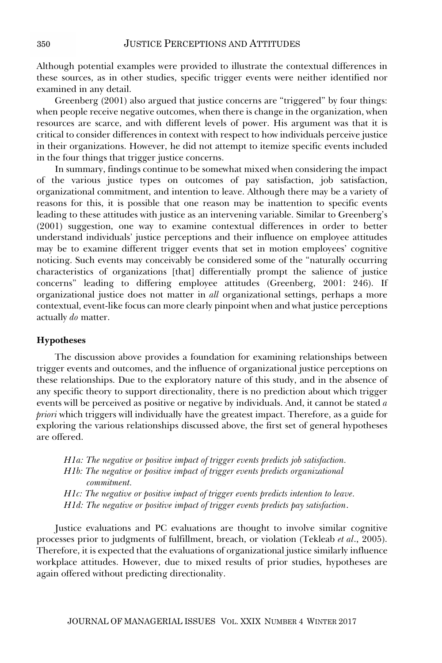Although potential examples were provided to illustrate the contextual differences in these sources, as in other studies, specific trigger events were neither identified nor examined in any detail.

Greenberg (2001) also argued that justice concerns are "triggered" by four things: when people receive negative outcomes, when there is change in the organization, when resources are scarce, and with different levels of power. His argument was that it is critical to consider differences in context with respect to how individuals perceive justice in their organizations. However, he did not attempt to itemize specific events included in the four things that trigger justice concerns.

In summary, findings continue to be somewhat mixed when considering the impact of the various justice types on outcomes of pay satisfaction, job satisfaction, organizational commitment, and intention to leave. Although there may be a variety of reasons for this, it is possible that one reason may be inattention to specific events leading to these attitudes with justice as an intervening variable. Similar to Greenberg's (2001) suggestion, one way to examine contextual differences in order to better understand individuals' justice perceptions and their influence on employee attitudes may be to examine different trigger events that set in motion employees' cognitive noticing. Such events may conceivably be considered some of the "naturally occurring characteristics of organizations [that] differentially prompt the salience of justice concerns" leading to differing employee attitudes (Greenberg, 2001: 246). If organizational justice does not matter in *all* organizational settings, perhaps a more contextual, event-like focus can more clearly pinpoint when and what justice perceptions actually *do* matter.

#### **Hypotheses**

The discussion above provides a foundation for examining relationships between trigger events and outcomes, and the influence of organizational justice perceptions on these relationships. Due to the exploratory nature of this study, and in the absence of any specific theory to support directionality, there is no prediction about which trigger events will be perceived as positive or negative by individuals. And, it cannot be stated *a priori* which triggers will individually have the greatest impact. Therefore, as a guide for exploring the various relationships discussed above, the first set of general hypotheses are offered.

*H1a: The negative or positive impact of trigger events predicts job satisfaction. H1b: The negative or positive impact of trigger events predicts organizational commitment. H1c: The negative or positive impact of trigger events predicts intention to leave. H1d: The negative or positive impact of trigger events predicts pay satisfaction*.

Justice evaluations and PC evaluations are thought to involve similar cognitive processes prior to judgments of fulfillment, breach, or violation (Tekleab *et al*., 2005). Therefore, it is expected that the evaluations of organizational justice similarly influence workplace attitudes. However, due to mixed results of prior studies, hypotheses are again offered without predicting directionality.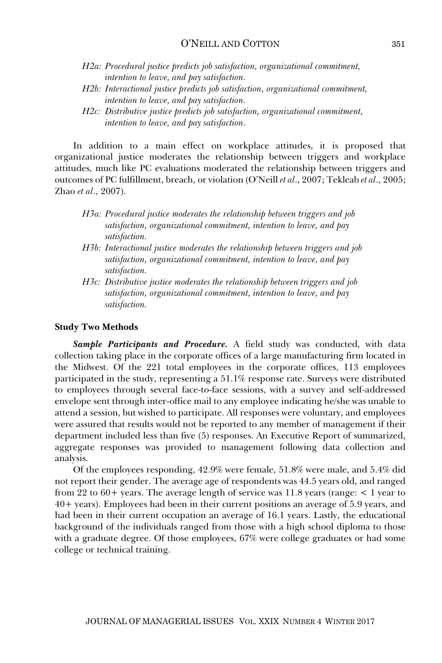- *H2a: Procedural justice predicts job satisfaction, organizational commitment, intention to leave, and pay satisfaction.*
- *H2b: Interactional justice predicts job satisfaction, organizational commitment, intention to leave, and pay satisfaction.*
- *H2c: Distributive justice predicts job satisfaction, organizational commitment, intention to leave, and pay satisfaction*.

In addition to a main effect on workplace attitudes, it is proposed that organizational justice moderates the relationship between triggers and workplace attitudes, much like PC evaluations moderated the relationship between triggers and outcomes of PC fulfillment, breach, or violation (O'Neill *et al*., 2007; Tekleab *et al*., 2005; Zhao *et al*., 2007).

- *H3a: Procedural justice moderates the relationship between triggers and job satisfaction, organizational commitment, intention to leave, and pay satisfaction.*
- *H3b: Interactional justice moderates the relationship between triggers and job satisfaction, organizational commitment, intention to leave, and pay satisfaction.*
- *H3c: Distributive justice moderates the relationship between triggers and job satisfaction, organizational commitment, intention to leave, and pay satisfaction.*

#### **Study Two Methods**

*Sample Participants and Procedure.* A field study was conducted, with data collection taking place in the corporate offices of a large manufacturing firm located in the Midwest. Of the 221 total employees in the corporate offices, 113 employees participated in the study, representing a 51.1% response rate. Surveys were distributed to employees through several face-to-face sessions, with a survey and self-addressed envelope sent through inter-office mail to any employee indicating he/she was unable to attend a session, but wished to participate. All responses were voluntary, and employees were assured that results would not be reported to any member of management if their department included less than five (5) responses. An Executive Report of summarized, aggregate responses was provided to management following data collection and analysis.

Of the employees responding, 42.9% were female, 51.8% were male, and 5.4% did not report their gender. The average age of respondents was 44.5 years old, and ranged from 22 to  $60+$  years. The average length of service was 11.8 years (range:  $\lt 1$  year to 40+ years). Employees had been in their current positions an average of 5.9 years, and had been in their current occupation an average of 16.1 years. Lastly, the educational background of the individuals ranged from those with a high school diploma to those with a graduate degree. Of those employees, 67% were college graduates or had some college or technical training.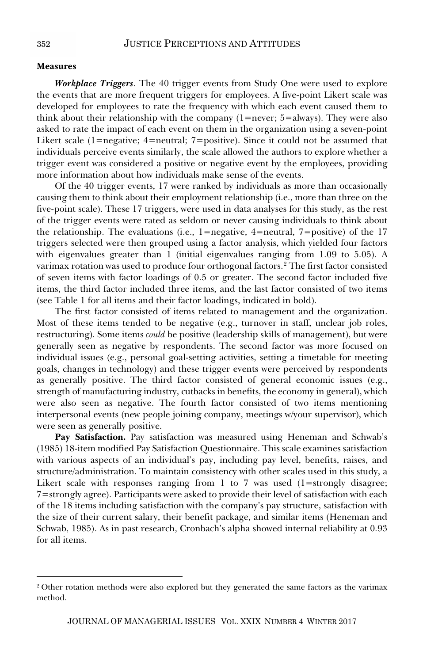#### **Measures**

*Workplace Triggers*. The 40 trigger events from Study One were used to explore the events that are more frequent triggers for employees. A five-point Likert scale was developed for employees to rate the frequency with which each event caused them to think about their relationship with the company  $(1=$ never;  $5=$ always). They were also asked to rate the impact of each event on them in the organization using a seven-point Likert scale (1=negative; 4=neutral; 7=positive). Since it could not be assumed that individuals perceive events similarly, the scale allowed the authors to explore whether a trigger event was considered a positive or negative event by the employees, providing more information about how individuals make sense of the events.

Of the 40 trigger events, 17 were ranked by individuals as more than occasionally causing them to think about their employment relationship (i.e., more than three on the five-point scale). These 17 triggers, were used in data analyses for this study, as the rest of the trigger events were rated as seldom or never causing individuals to think about the relationship. The evaluations (i.e., 1=negative, 4=neutral, 7=positive) of the 17 triggers selected were then grouped using a factor analysis, which yielded four factors with eigenvalues greater than 1 (initial eigenvalues ranging from 1.09 to 5.05). A varimax rotation was used to produce four orthogonal factors.<sup>2</sup> The first factor consisted of seven items with factor loadings of 0.5 or greater. The second factor included five items, the third factor included three items, and the last factor consisted of two items (see Table 1 for all items and their factor loadings, indicated in bold).

The first factor consisted of items related to management and the organization. Most of these items tended to be negative (e.g., turnover in staff, unclear job roles, restructuring). Some items *could* be positive (leadership skills of management), but were generally seen as negative by respondents. The second factor was more focused on individual issues (e.g., personal goal-setting activities, setting a timetable for meeting goals, changes in technology) and these trigger events were perceived by respondents as generally positive. The third factor consisted of general economic issues (e.g., strength of manufacturing industry, cutbacks in benefits, the economy in general), which were also seen as negative. The fourth factor consisted of two items mentioning interpersonal events (new people joining company, meetings w/your supervisor), which were seen as generally positive.

Pay Satisfaction. Pay satisfaction was measured using Heneman and Schwab's (1985) 18-item modified Pay Satisfaction Questionnaire. This scale examines satisfaction with various aspects of an individual's pay, including pay level, benefits, raises, and structure/administration. To maintain consistency with other scales used in this study, a Likert scale with responses ranging from 1 to 7 was used (1=strongly disagree; 7=strongly agree). Participants were asked to provide their level of satisfaction with each of the 18 items including satisfaction with the company's pay structure, satisfaction with the size of their current salary, their benefit package, and similar items (Heneman and Schwab, 1985). As in past research, Cronbach's alpha showed internal reliability at 0.93 for all items.

<sup>&</sup>lt;sup>2</sup> Other rotation methods were also explored but they generated the same factors as the varimax method.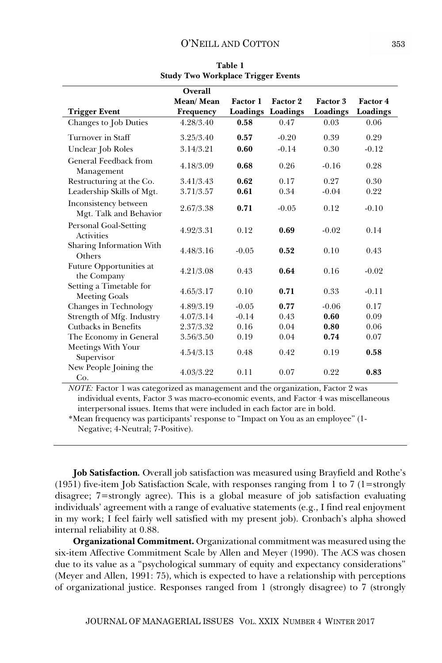|                                                 | Overall   |          |          |          |          |
|-------------------------------------------------|-----------|----------|----------|----------|----------|
|                                                 | Mean/Mean | Factor 1 | Factor 2 | Factor 3 | Factor 4 |
| <b>Trigger Event</b>                            | Frequency | Loadings | Loadings | Loadings | Loadings |
| Changes to Job Duties                           | 4.28/3.40 | 0.58     | 0.47     | 0.03     | 0.06     |
| Turnover in Staff                               | 3.25/3.40 | 0.57     | $-0.20$  | 0.39     | 0.29     |
| Unclear Job Roles                               | 3.14/3.21 | 0.60     | $-0.14$  | 0.30     | $-0.12$  |
| <b>General Feedback from</b><br>Management      | 4.18/3.09 | 0.68     | 0.26     | $-0.16$  | 0.28     |
| Restructuring at the Co.                        | 3.41/3.43 | 0.62     | 0.17     | 0.27     | 0.30     |
| Leadership Skills of Mgt.                       | 3.71/3.57 | 0.61     | 0.34     | $-0.04$  | 0.22     |
| Inconsistency between<br>Mgt. Talk and Behavior | 2.67/3.38 | 0.71     | $-0.05$  | 0.12     | $-0.10$  |
| Personal Goal-Setting<br><b>Activities</b>      | 4.92/3.31 | 0.12     | 0.69     | $-0.02$  | 0.14     |
| Sharing Information With<br>Others              | 4.48/3.16 | $-0.05$  | 0.52     | 0.10     | 0.43     |
| Future Opportunities at<br>the Company          | 4.21/3.08 | 0.43     | 0.64     | 0.16     | $-0.02$  |
| Setting a Timetable for<br><b>Meeting Goals</b> | 4.65/3.17 | 0.10     | 0.71     | 0.33     | $-0.11$  |
| Changes in Technology                           | 4.89/3.19 | $-0.05$  | 0.77     | $-0.06$  | 0.17     |
| Strength of Mfg. Industry                       | 4.07/3.14 | $-0.14$  | 0.43     | 0.60     | 0.09     |
| Cutbacks in Benefits                            | 2.37/3.32 | 0.16     | 0.04     | 0.80     | 0.06     |
| The Economy in General                          | 3.56/3.50 | 0.19     | 0.04     | 0.74     | 0.07     |
| Meetings With Your<br>Supervisor                | 4.54/3.13 | 0.48     | 0.42     | 0.19     | 0.58     |
| New People Joining the<br>Co.                   | 4.03/3.22 | 0.11     | 0.07     | 0.22     | 0.83     |

**Table 1 Study Two Workplace Trigger Events** 

*NOTE:* Factor 1 was categorized as management and the organization, Factor 2 was individual events, Factor 3 was macro-economic events, and Factor 4 was miscellaneous interpersonal issues. Items that were included in each factor are in bold.

\*Mean frequency was participants' response to "Impact on You as an employee" (1- Negative; 4-Neutral; 7-Positive).

**Job Satisfaction***.* Overall job satisfaction was measured using Brayfield and Rothe's (1951) five-item Job Satisfaction Scale, with responses ranging from 1 to 7 (1=strongly disagree; 7=strongly agree). This is a global measure of job satisfaction evaluating individuals' agreement with a range of evaluative statements (e.g., I find real enjoyment in my work; I feel fairly well satisfied with my present job). Cronbach's alpha showed internal reliability at 0.88.

**Organizational Commitment.** Organizational commitment was measured using the six-item Affective Commitment Scale by Allen and Meyer (1990). The ACS was chosen due to its value as a "psychological summary of equity and expectancy considerations" (Meyer and Allen, 1991: 75), which is expected to have a relationship with perceptions of organizational justice. Responses ranged from 1 (strongly disagree) to 7 (strongly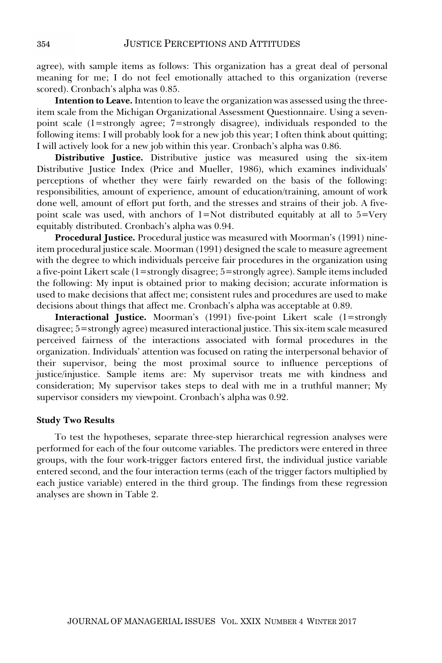agree), with sample items as follows: This organization has a great deal of personal meaning for me; I do not feel emotionally attached to this organization (reverse scored). Cronbach's alpha was 0.85.

**Intention to Leave.** Intention to leave the organization was assessed using the threeitem scale from the Michigan Organizational Assessment Questionnaire. Using a sevenpoint scale (1=strongly agree; 7=strongly disagree), individuals responded to the following items: I will probably look for a new job this year; I often think about quitting; I will actively look for a new job within this year. Cronbach's alpha was 0.86.

**Distributive Justice.** Distributive justice was measured using the six-item Distributive Justice Index (Price and Mueller, 1986), which examines individuals' perceptions of whether they were fairly rewarded on the basis of the following: responsibilities, amount of experience, amount of education/training, amount of work done well, amount of effort put forth, and the stresses and strains of their job. A fivepoint scale was used, with anchors of  $1 = Not$  distributed equitably at all to  $5 = Very$ equitably distributed. Cronbach's alpha was 0.94.

**Procedural Justice.** Procedural justice was measured with Moorman's (1991) nineitem procedural justice scale. Moorman (1991) designed the scale to measure agreement with the degree to which individuals perceive fair procedures in the organization using a five-point Likert scale (1=strongly disagree; 5=strongly agree). Sample items included the following: My input is obtained prior to making decision; accurate information is used to make decisions that affect me; consistent rules and procedures are used to make decisions about things that affect me. Cronbach's alpha was acceptable at 0.89.

**Interactional Justice.** Moorman's (1991) five-point Likert scale (1=strongly disagree; 5=strongly agree) measured interactional justice. This six-item scale measured perceived fairness of the interactions associated with formal procedures in the organization. Individuals' attention was focused on rating the interpersonal behavior of their supervisor, being the most proximal source to influence perceptions of justice/injustice. Sample items are: My supervisor treats me with kindness and consideration; My supervisor takes steps to deal with me in a truthful manner; My supervisor considers my viewpoint. Cronbach's alpha was 0.92.

#### **Study Two Results**

To test the hypotheses, separate three-step hierarchical regression analyses were performed for each of the four outcome variables. The predictors were entered in three groups, with the four work-trigger factors entered first, the individual justice variable entered second, and the four interaction terms (each of the trigger factors multiplied by each justice variable) entered in the third group. The findings from these regression analyses are shown in Table 2.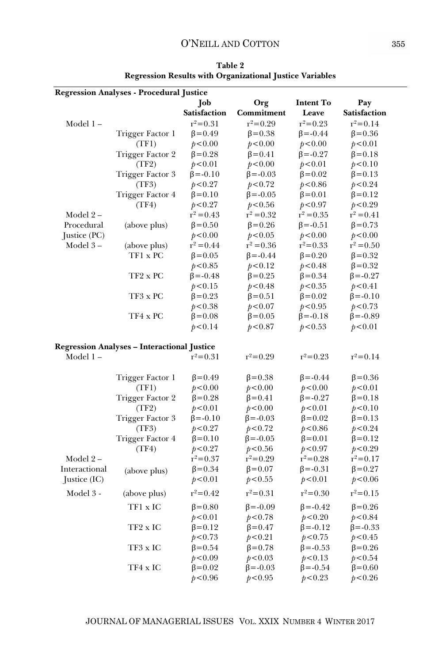#### O'NEILL AND COTTON

|               | <b>Regression Analyses - Procedural Justice</b>    |                          |                          |                          |                          |  |  |
|---------------|----------------------------------------------------|--------------------------|--------------------------|--------------------------|--------------------------|--|--|
|               |                                                    | Job                      | Org                      | <b>Intent To</b>         | Pay                      |  |  |
|               |                                                    | <b>Satisfaction</b>      | Commitment               | Leave                    | <b>Satisfaction</b>      |  |  |
| Model 1-      |                                                    | $r^2 = 0.31$             | $r^2 = 0.29$             | $r^2 = 0.23$             | $r^2 = 0.14$             |  |  |
|               | Trigger Factor 1                                   | $\beta = 0.49$           | $\beta = 0.38$           | $\beta = -0.44$          | $\beta = 0.36$           |  |  |
|               | (TF1)                                              | p < 0.00                 | p < 0.00                 | p < 0.00                 | p < 0.01                 |  |  |
|               | Trigger Factor 2                                   | $\beta = 0.28$           | $\beta = 0.41$           | $\beta = -0.27$          | $\beta = 0.18$           |  |  |
|               | (TF2)                                              | p < 0.01                 | p < 0.00                 | p < 0.01                 | p < 0.10                 |  |  |
|               | Trigger Factor 3                                   | $\beta = -0.10$          | $\beta = -0.03$          | $\beta = 0.02$           | $\beta$ =0.13            |  |  |
|               | (TF3)                                              | p < 0.27                 | p < 0.72                 | p < 0.86                 | p < 0.24                 |  |  |
|               | Trigger Factor 4                                   | $\beta = 0.10$           | $\beta = -0.05$          | $\beta = 0.01$           | $\beta = 0.12$           |  |  |
|               | (TF4)                                              | p < 0.27                 | p < 0.56                 | p < 0.97                 | p < 0.29                 |  |  |
| Model 2-      |                                                    | $r^2 = 0.43$             | $r^2 = 0.32$             | $r^2 = 0.35$             | $r^2 = 0.41$             |  |  |
| Procedural    | (above plus)                                       | $\beta$ =0.50            | $\beta = 0.26$           | $\beta = -0.51$          | $\beta = 0.73$           |  |  |
| Justice (PC)  |                                                    | p < 0.00                 | p < 0.05                 | p < 0.00                 | p < 0.00                 |  |  |
| Model $3-$    | (above plus)                                       | $r^2 = 0.44$             | $r^2 = 0.36$             | $r^2 = 0.33$             | $r^2 = 0.50$             |  |  |
|               | TF1 x PC                                           | $\beta = 0.05$           | $\beta = -0.44$          | $\beta = 0.20$           | $\beta = 0.32$           |  |  |
|               |                                                    | p < 0.85                 | p<0.12                   | p < 0.48                 | $\beta$ =0.32            |  |  |
|               | TF2 x PC                                           | $\beta = -0.48$          | $\beta = 0.25$           | $\beta = 0.34$           | $\beta = -0.27$          |  |  |
|               |                                                    | p < 0.15                 | p < 0.48                 | p < 0.35                 | p < 0.41                 |  |  |
|               | TF3 x PC                                           | $\beta = 0.23$           | $\beta = 0.51$           | $\beta = 0.02$           | $\beta = -0.10$          |  |  |
|               |                                                    | p<0.38                   | p < 0.07                 | p < 0.95                 | p < 0.73                 |  |  |
|               | TF4 x PC                                           | $\beta = 0.08$           | $\beta = 0.05$           | $\beta = -0.18$          | $\beta = -0.89$          |  |  |
|               |                                                    | p < 0.14                 | p < 0.87                 | p < 0.53                 | p < 0.01                 |  |  |
|               |                                                    |                          |                          |                          |                          |  |  |
|               | <b>Regression Analyses - Interactional Justice</b> |                          |                          |                          |                          |  |  |
| Model 1-      |                                                    | $r^2 = 0.31$             | $r^2 = 0.29$             | $r^2 = 0.23$             | $r^2 = 0.14$             |  |  |
|               |                                                    |                          |                          |                          |                          |  |  |
|               | Trigger Factor 1                                   | $\beta = 0.49$           | $\beta = 0.38$           | $\beta = -0.44$          | $\beta = 0.36$           |  |  |
|               | (TF1)                                              | p < 0.00                 | p < 0.00                 | p < 0.00                 | p < 0.01                 |  |  |
|               | Trigger Factor 2                                   | $\beta = 0.28$           | $\beta = 0.41$           | $\beta = -0.27$          | $\beta = 0.18$           |  |  |
|               | (TF2)                                              | p < 0.01                 | p < 0.00                 | p < 0.01                 | p < 0.10                 |  |  |
|               | Trigger Factor 3                                   | $\beta = -0.10$          | $\beta = -0.03$          | $\beta$ =0.02            | $\beta = 0.13$           |  |  |
|               | (TF3)<br>Trigger Factor 4                          | p < 0.27                 | p < 0.72                 | p < 0.86                 | p < 0.24                 |  |  |
|               |                                                    | $\beta = 0.10$           | $\beta = -0.05$          | $\beta = 0.01$           | $\beta = 0.12$           |  |  |
| Model $2-$    | (TF4)                                              | p < 0.27<br>$r^2 = 0.37$ | p < 0.56<br>$r^2 = 0.29$ | p < 0.97<br>$r^2 = 0.28$ | p < 0.29<br>$r^2 = 0.17$ |  |  |
| Interactional |                                                    | $\beta = 0.34$           |                          | $\beta = -0.31$          |                          |  |  |
|               | (above plus)                                       |                          | $β = 0.07$               |                          | $\beta = 0.27$           |  |  |
| Justice (IC)  |                                                    | p < 0.01                 | p < 0.55                 | p < 0.01                 | p < 0.06                 |  |  |
| Model 3 -     | (above plus)                                       | $r^2 = 0.42$             | $r^2 = 0.31$             | $r^2 = 0.30$             | $r^2 = 0.15$             |  |  |
|               | TF1 x IC                                           | $\beta = 0.80$           | $\beta = -0.09$          | $\beta = -0.42$          | $\beta = 0.26$           |  |  |
|               |                                                    | p < 0.01                 | p < 0.78                 | p < 0.20                 | p < 0.84                 |  |  |
|               | TF2 x IC                                           | $\beta = 0.12$           | $\beta = 0.47$           | $\beta = -0.12$          | $\beta = -0.33$          |  |  |
|               |                                                    | p < 0.73                 | p < 0.21                 | p < 0.75                 | p < 0.45                 |  |  |
|               | TF3 x IC                                           | $\beta$ =0.54            | $\beta = 0.78$           | $\beta = -0.53$          | $\beta = 0.26$           |  |  |
|               |                                                    | p < 0.09                 | p < 0.03                 | p < 0.13                 | p < 0.54                 |  |  |
|               | TF4 x IC                                           | $\beta$ =0.02            | $\beta = -0.03$          | $\beta = -0.54$          | $\beta$ =0.60            |  |  |
|               |                                                    | p < 0.96                 | p < 0.95                 | p < 0.23                 | p < 0.26                 |  |  |

**Table 2 Regression Results with Organizational Justice Variables**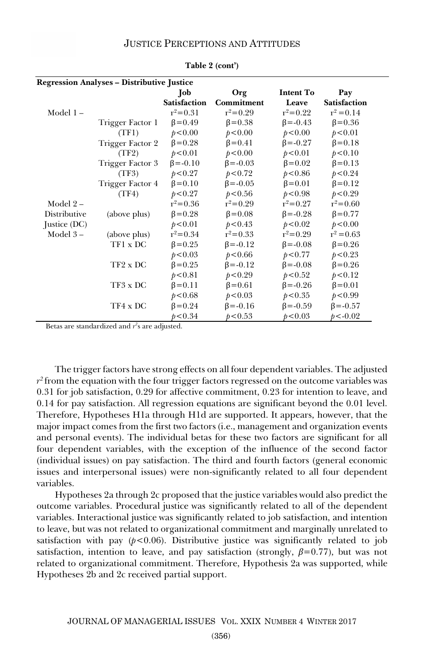#### JUSTICE PERCEPTIONS AND ATTITUDES

| <b>Regression Analyses – Distributive Justice</b> |                  |                     |                 |                  |                     |  |  |
|---------------------------------------------------|------------------|---------------------|-----------------|------------------|---------------------|--|--|
|                                                   |                  | Job                 | Org             | <b>Intent To</b> | Pay                 |  |  |
|                                                   |                  | <b>Satisfaction</b> | Commitment      | Leave            | <b>Satisfaction</b> |  |  |
| Model 1-                                          |                  | $r^2 = 0.31$        | $r^2 = 0.29$    | $r^2 = 0.22$     | $r^2 = 0.14$        |  |  |
|                                                   | Trigger Factor 1 | $\beta = 0.49$      | $\beta = 0.38$  | $\beta = -0.43$  | $\beta$ =0.36       |  |  |
|                                                   | (TF1)            | p < 0.00            | p < 0.00        | p < 0.00         | p < 0.01            |  |  |
|                                                   | Trigger Factor 2 | $\beta = 0.28$      | $\beta = 0.41$  | $\beta = -0.27$  | $\beta = 0.18$      |  |  |
|                                                   | (TF2)            | p < 0.01            | p < 0.00        | p < 0.01         | p < 0.10            |  |  |
|                                                   | Trigger Factor 3 | $\beta = -0.10$     | $\beta = -0.03$ | $\beta = 0.02$   | $\beta = 0.13$      |  |  |
|                                                   | (TF3)            | p < 0.27            | p < 0.72        | p < 0.86         | p < 0.24            |  |  |
|                                                   | Trigger Factor 4 | $\beta = 0.10$      | $\beta = -0.05$ | $\beta$ =0.01    | $\beta = 0.12$      |  |  |
|                                                   | (TF4)            | p < 0.27            | p < 0.56        | p < 0.98         | p < 0.29            |  |  |
| Model $2-$                                        |                  | $r^2 = 0.36$        | $r^2 = 0.29$    | $r^2 = 0.27$     | $r^2 = 0.60$        |  |  |
| Distributive                                      | (above plus)     | $\beta = 0.28$      | $\beta = 0.08$  | $\beta = -0.28$  | $\beta = 0.77$      |  |  |
| Justice (DC)                                      |                  | p < 0.01            | p < 0.43        | p < 0.02         | p < 0.00            |  |  |
| Model $3-$                                        | (above plus)     | $r^2 = 0.34$        | $r^2 = 0.33$    | $r^2 = 0.29$     | $r^2 = 0.63$        |  |  |
|                                                   | TF1 x DC         | $\beta = 0.25$      | $\beta = -0.12$ | $\beta = -0.08$  | $\beta = 0.26$      |  |  |
|                                                   |                  | p < 0.03            | p < 0.66        | p < 0.77         | p < 0.23            |  |  |
|                                                   | TF2 x DC         | $\beta = 0.25$      | $\beta = -0.12$ | $\beta = -0.08$  | $\beta = 0.26$      |  |  |
|                                                   |                  | p < 0.81            | p < 0.29        | p < 0.52         | p < 0.12            |  |  |
|                                                   | TF3 x DC         | $\beta = 0.11$      | $\beta = 0.61$  | $\beta = -0.26$  | $\beta = 0.01$      |  |  |
|                                                   |                  | p < 0.68            | p < 0.03        | p < 0.35         | p < 0.99            |  |  |
|                                                   | TF4 x DC         | $\beta = 0.24$      | $\beta = -0.16$ | $\beta = -0.59$  | $\beta = -0.57$     |  |  |
|                                                   |                  | p < 0.34            | p < 0.53        | p < 0.03         | $p < -0.02$         |  |  |

**Table 2 (cont')** 

Betas are standardized and  $r^2$ s are adjusted.

The trigger factors have strong effects on all four dependent variables. The adjusted  $r^2$  from the equation with the four trigger factors regressed on the outcome variables was 0.31 for job satisfaction, 0.29 for affective commitment, 0.23 for intention to leave, and 0.14 for pay satisfaction. All regression equations are significant beyond the 0.01 level. Therefore, Hypotheses H1a through H1d are supported. It appears, however, that the major impact comes from the first two factors (i.e., management and organization events and personal events). The individual betas for these two factors are significant for all four dependent variables, with the exception of the influence of the second factor (individual issues) on pay satisfaction. The third and fourth factors (general economic issues and interpersonal issues) were non-significantly related to all four dependent variables.

Hypotheses 2a through 2c proposed that the justice variables would also predict the outcome variables. Procedural justice was significantly related to all of the dependent variables. Interactional justice was significantly related to job satisfaction, and intention to leave, but was not related to organizational commitment and marginally unrelated to satisfaction with pay  $(p<0.06)$ . Distributive justice was significantly related to job satisfaction, intention to leave, and pay satisfaction (strongly,  $\beta$ =0.77), but was not related to organizational commitment. Therefore, Hypothesis 2a was supported, while Hypotheses 2b and 2c received partial support.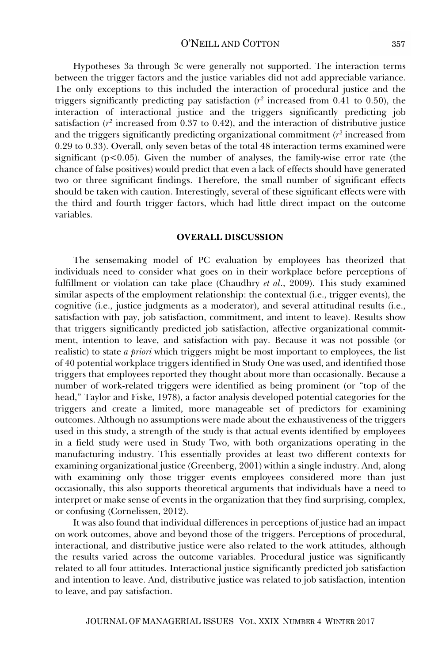Hypotheses 3a through 3c were generally not supported. The interaction terms between the trigger factors and the justice variables did not add appreciable variance. The only exceptions to this included the interaction of procedural justice and the triggers significantly predicting pay satisfaction  $(r^2$  increased from 0.41 to 0.50), the interaction of interactional justice and the triggers significantly predicting job satisfaction  $(r^2$  increased from 0.37 to 0.42), and the interaction of distributive justice and the triggers significantly predicting organizational commitment (*r2* increased from 0.29 to 0.33). Overall, only seven betas of the total 48 interaction terms examined were significant ( $p<0.05$ ). Given the number of analyses, the family-wise error rate (the chance of false positives) would predict that even a lack of effects should have generated two or three significant findings. Therefore, the small number of significant effects should be taken with caution. Interestingly, several of these significant effects were with the third and fourth trigger factors, which had little direct impact on the outcome variables.

#### **OVERALL DISCUSSION**

The sensemaking model of PC evaluation by employees has theorized that individuals need to consider what goes on in their workplace before perceptions of fulfillment or violation can take place (Chaudhry *et al*., 2009). This study examined similar aspects of the employment relationship: the contextual (i.e., trigger events), the cognitive (i.e., justice judgments as a moderator), and several attitudinal results (i.e., satisfaction with pay, job satisfaction, commitment, and intent to leave). Results show that triggers significantly predicted job satisfaction, affective organizational commitment, intention to leave, and satisfaction with pay. Because it was not possible (or realistic) to state *a priori* which triggers might be most important to employees, the list of 40 potential workplace triggers identified in Study One was used, and identified those triggers that employees reported they thought about more than occasionally. Because a number of work-related triggers were identified as being prominent (or "top of the head," Taylor and Fiske, 1978), a factor analysis developed potential categories for the triggers and create a limited, more manageable set of predictors for examining outcomes. Although no assumptions were made about the exhaustiveness of the triggers used in this study, a strength of the study is that actual events identified by employees in a field study were used in Study Two, with both organizations operating in the manufacturing industry. This essentially provides at least two different contexts for examining organizational justice (Greenberg, 2001) within a single industry. And, along with examining only those trigger events employees considered more than just occasionally, this also supports theoretical arguments that individuals have a need to interpret or make sense of events in the organization that they find surprising, complex, or confusing (Cornelissen, 2012).

It was also found that individual differences in perceptions of justice had an impact on work outcomes, above and beyond those of the triggers. Perceptions of procedural, interactional, and distributive justice were also related to the work attitudes, although the results varied across the outcome variables. Procedural justice was significantly related to all four attitudes. Interactional justice significantly predicted job satisfaction and intention to leave. And, distributive justice was related to job satisfaction, intention to leave, and pay satisfaction.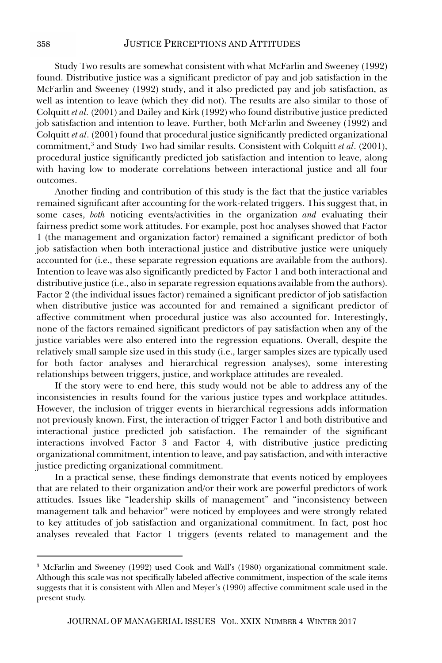Study Two results are somewhat consistent with what McFarlin and Sweeney (1992) found. Distributive justice was a significant predictor of pay and job satisfaction in the McFarlin and Sweeney (1992) study, and it also predicted pay and job satisfaction, as well as intention to leave (which they did not). The results are also similar to those of Colquitt *et al.* (2001) and Dailey and Kirk (1992) who found distributive justice predicted job satisfaction and intention to leave. Further, both McFarlin and Sweeney (1992) and Colquitt *et al*. (2001) found that procedural justice significantly predicted organizational commitment,<sup>3</sup> and Study Two had similar results. Consistent with Colquitt *et al.* (2001), procedural justice significantly predicted job satisfaction and intention to leave, along with having low to moderate correlations between interactional justice and all four outcomes.

Another finding and contribution of this study is the fact that the justice variables remained significant after accounting for the work-related triggers. This suggest that, in some cases, *both* noticing events/activities in the organization *and* evaluating their fairness predict some work attitudes. For example, post hoc analyses showed that Factor 1 (the management and organization factor) remained a significant predictor of both job satisfaction when both interactional justice and distributive justice were uniquely accounted for (i.e., these separate regression equations are available from the authors). Intention to leave was also significantly predicted by Factor 1 and both interactional and distributive justice (i.e., also in separate regression equations available from the authors). Factor 2 (the individual issues factor) remained a significant predictor of job satisfaction when distributive justice was accounted for and remained a significant predictor of affective commitment when procedural justice was also accounted for. Interestingly, none of the factors remained significant predictors of pay satisfaction when any of the justice variables were also entered into the regression equations. Overall, despite the relatively small sample size used in this study (i.e., larger samples sizes are typically used for both factor analyses and hierarchical regression analyses), some interesting relationships between triggers, justice, and workplace attitudes are revealed.

If the story were to end here, this study would not be able to address any of the inconsistencies in results found for the various justice types and workplace attitudes. However, the inclusion of trigger events in hierarchical regressions adds information not previously known. First, the interaction of trigger Factor 1 and both distributive and interactional justice predicted job satisfaction. The remainder of the significant interactions involved Factor 3 and Factor 4, with distributive justice predicting organizational commitment, intention to leave, and pay satisfaction, and with interactive justice predicting organizational commitment.

In a practical sense, these findings demonstrate that events noticed by employees that are related to their organization and/or their work are powerful predictors of work attitudes. Issues like "leadership skills of management" and "inconsistency between management talk and behavior" were noticed by employees and were strongly related to key attitudes of job satisfaction and organizational commitment. In fact, post hoc analyses revealed that Factor 1 triggers (events related to management and the

<sup>3</sup> McFarlin and Sweeney (1992) used Cook and Wall's (1980) organizational commitment scale. Although this scale was not specifically labeled affective commitment, inspection of the scale items suggests that it is consistent with Allen and Meyer's (1990) affective commitment scale used in the present study.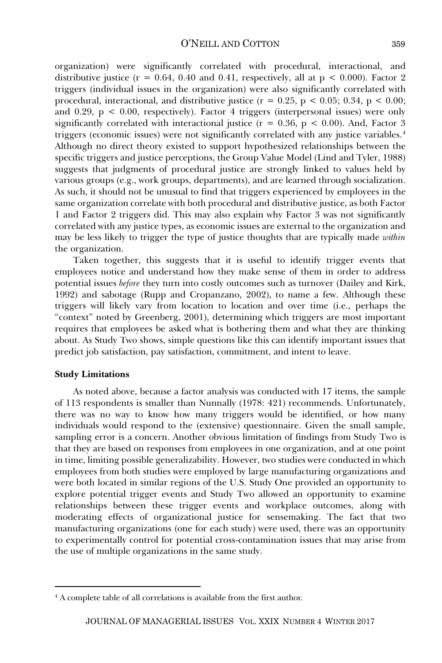organization) were significantly correlated with procedural, interactional, and distributive justice ( $r = 0.64$ , 0.40 and 0.41, respectively, all at  $p < 0.000$ ). Factor 2 triggers (individual issues in the organization) were also significantly correlated with procedural, interactional, and distributive justice ( $r = 0.25$ ,  $p < 0.05$ ; 0.34,  $p < 0.00$ ; and 0.29,  $p < 0.00$ , respectively). Factor 4 triggers (interpersonal issues) were only significantly correlated with interactional justice ( $r = 0.36$ ,  $p < 0.00$ ). And, Factor 3 triggers (economic issues) were not significantly correlated with any justice variables.4 Although no direct theory existed to support hypothesized relationships between the specific triggers and justice perceptions, the Group Value Model (Lind and Tyler, 1988) suggests that judgments of procedural justice are strongly linked to values held by various groups (e.g., work groups, departments), and are learned through socialization. As such, it should not be unusual to find that triggers experienced by employees in the same organization correlate with both procedural and distributive justice, as both Factor 1 and Factor 2 triggers did. This may also explain why Factor 3 was not significantly correlated with any justice types, as economic issues are external to the organization and may be less likely to trigger the type of justice thoughts that are typically made *within* the organization.

Taken together, this suggests that it is useful to identify trigger events that employees notice and understand how they make sense of them in order to address potential issues *before* they turn into costly outcomes such as turnover (Dailey and Kirk, 1992) and sabotage (Rupp and Cropanzano, 2002), to name a few. Although these triggers will likely vary from location to location and over time (i.e., perhaps the "context" noted by Greenberg, 2001), determining which triggers are most important requires that employees be asked what is bothering them and what they are thinking about. As Study Two shows, simple questions like this can identify important issues that predict job satisfaction, pay satisfaction, commitment, and intent to leave.

#### **Study Limitations**

As noted above, because a factor analysis was conducted with 17 items, the sample of 113 respondents is smaller than Nunnally (1978: 421) recommends. Unfortunately, there was no way to know how many triggers would be identified, or how many individuals would respond to the (extensive) questionnaire. Given the small sample, sampling error is a concern. Another obvious limitation of findings from Study Two is that they are based on responses from employees in one organization, and at one point in time, limiting possible generalizability. However, two studies were conducted in which employees from both studies were employed by large manufacturing organizations and were both located in similar regions of the U.S. Study One provided an opportunity to explore potential trigger events and Study Two allowed an opportunity to examine relationships between these trigger events and workplace outcomes, along with moderating effects of organizational justice for sensemaking. The fact that two manufacturing organizations (one for each study) were used, there was an opportunity to experimentally control for potential cross-contamination issues that may arise from the use of multiple organizations in the same study.

<sup>4</sup> A complete table of all correlations is available from the first author.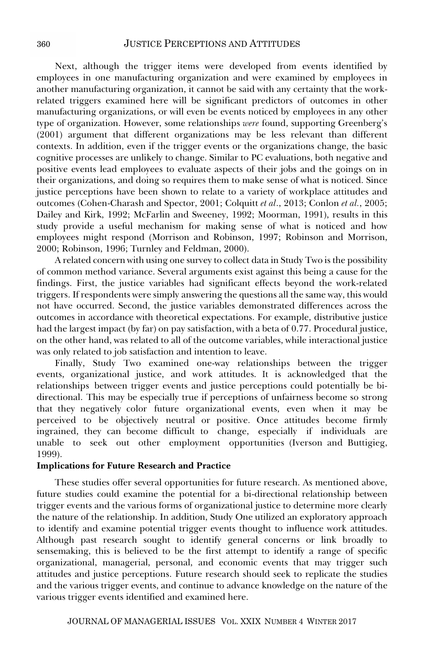Next, although the trigger items were developed from events identified by employees in one manufacturing organization and were examined by employees in another manufacturing organization, it cannot be said with any certainty that the workrelated triggers examined here will be significant predictors of outcomes in other manufacturing organizations, or will even be events noticed by employees in any other type of organization. However, some relationships *were* found, supporting Greenberg's (2001) argument that different organizations may be less relevant than different contexts. In addition, even if the trigger events or the organizations change, the basic cognitive processes are unlikely to change. Similar to PC evaluations, both negative and positive events lead employees to evaluate aspects of their jobs and the goings on in their organizations, and doing so requires them to make sense of what is noticed. Since justice perceptions have been shown to relate to a variety of workplace attitudes and outcomes (Cohen-Charash and Spector, 2001; Colquitt *et al*., 2013; Conlon *et al.*, 2005; Dailey and Kirk, 1992; McFarlin and Sweeney, 1992; Moorman, 1991), results in this study provide a useful mechanism for making sense of what is noticed and how employees might respond (Morrison and Robinson, 1997; Robinson and Morrison, 2000; Robinson, 1996; Turnley and Feldman, 2000).

A related concern with using one survey to collect data in Study Two is the possibility of common method variance. Several arguments exist against this being a cause for the findings. First, the justice variables had significant effects beyond the work-related triggers. If respondents were simply answering the questions all the same way, this would not have occurred. Second, the justice variables demonstrated differences across the outcomes in accordance with theoretical expectations. For example, distributive justice had the largest impact (by far) on pay satisfaction, with a beta of 0.77. Procedural justice, on the other hand, was related to all of the outcome variables, while interactional justice was only related to job satisfaction and intention to leave.

Finally, Study Two examined one-way relationships between the trigger events, organizational justice, and work attitudes. It is acknowledged that the relationships between trigger events and justice perceptions could potentially be bidirectional. This may be especially true if perceptions of unfairness become so strong that they negatively color future organizational events, even when it may be perceived to be objectively neutral or positive. Once attitudes become firmly ingrained, they can become difficult to change, especially if individuals are unable to seek out other employment opportunities (Iverson and Buttigieg, 1999).

#### **Implications for Future Research and Practice**

These studies offer several opportunities for future research. As mentioned above, future studies could examine the potential for a bi-directional relationship between trigger events and the various forms of organizational justice to determine more clearly the nature of the relationship. In addition, Study One utilized an exploratory approach to identify and examine potential trigger events thought to influence work attitudes. Although past research sought to identify general concerns or link broadly to sensemaking, this is believed to be the first attempt to identify a range of specific organizational, managerial, personal, and economic events that may trigger such attitudes and justice perceptions. Future research should seek to replicate the studies and the various trigger events, and continue to advance knowledge on the nature of the various trigger events identified and examined here.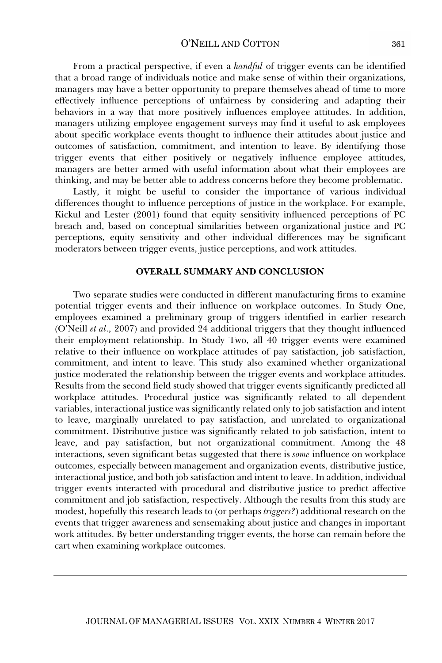#### O'NEILL AND COTTON

From a practical perspective, if even a *handful* of trigger events can be identified that a broad range of individuals notice and make sense of within their organizations, managers may have a better opportunity to prepare themselves ahead of time to more effectively influence perceptions of unfairness by considering and adapting their behaviors in a way that more positively influences employee attitudes. In addition, managers utilizing employee engagement surveys may find it useful to ask employees about specific workplace events thought to influence their attitudes about justice and outcomes of satisfaction, commitment, and intention to leave. By identifying those trigger events that either positively or negatively influence employee attitudes, managers are better armed with useful information about what their employees are thinking, and may be better able to address concerns before they become problematic.

Lastly, it might be useful to consider the importance of various individual differences thought to influence perceptions of justice in the workplace. For example, Kickul and Lester (2001) found that equity sensitivity influenced perceptions of PC breach and, based on conceptual similarities between organizational justice and PC perceptions, equity sensitivity and other individual differences may be significant moderators between trigger events, justice perceptions, and work attitudes.

#### **OVERALL SUMMARY AND CONCLUSION**

Two separate studies were conducted in different manufacturing firms to examine potential trigger events and their influence on workplace outcomes. In Study One, employees examined a preliminary group of triggers identified in earlier research (O'Neill *et al*., 2007) and provided 24 additional triggers that they thought influenced their employment relationship. In Study Two, all 40 trigger events were examined relative to their influence on workplace attitudes of pay satisfaction, job satisfaction, commitment, and intent to leave. This study also examined whether organizational justice moderated the relationship between the trigger events and workplace attitudes. Results from the second field study showed that trigger events significantly predicted all workplace attitudes. Procedural justice was significantly related to all dependent variables, interactional justice was significantly related only to job satisfaction and intent to leave, marginally unrelated to pay satisfaction, and unrelated to organizational commitment. Distributive justice was significantly related to job satisfaction, intent to leave, and pay satisfaction, but not organizational commitment. Among the 48 interactions, seven significant betas suggested that there is *some* influence on workplace outcomes, especially between management and organization events, distributive justice, interactional justice, and both job satisfaction and intent to leave. In addition, individual trigger events interacted with procedural and distributive justice to predict affective commitment and job satisfaction, respectively. Although the results from this study are modest, hopefully this research leads to (or perhaps *triggers?*) additional research on the events that trigger awareness and sensemaking about justice and changes in important work attitudes. By better understanding trigger events, the horse can remain before the cart when examining workplace outcomes.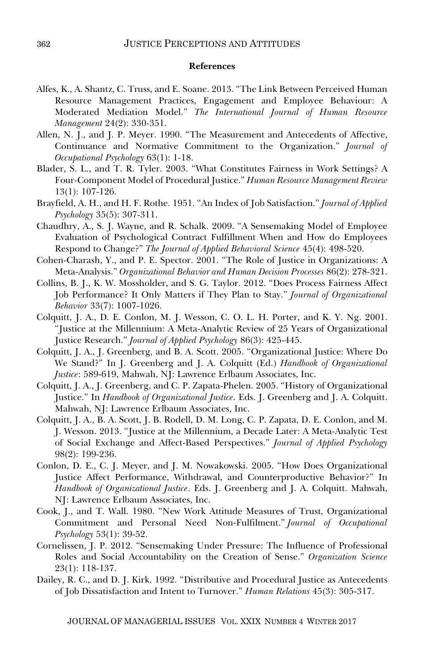#### **References**

- Alfes, K., A. Shantz, C. Truss, and E. Soane. 2013. "The Link Between Perceived Human Resource Management Practices, Engagement and Employee Behaviour: A Moderated Mediation Model." *The International Journal of Human Resource Management* 24(2): 330-351.
- Allen, N. J., and J. P. Meyer. 1990. "The Measurement and Antecedents of Affective, Continuance and Normative Commitment to the Organization." *Journal of Occupational Psychology* 63(1): 1-18.
- Blader, S. L., and T. R. Tyler. 2003. "What Constitutes Fairness in Work Settings? A Four-Component Model of Procedural Justice." *Human Resource Management Review* 13(1): 107-126.
- Brayfield, A. H., and H. F. Rothe. 1951. "An Index of Job Satisfaction." *Journal of Applied Psychology* 35(5): 307-311.
- Chaudhry, A., S. J. Wayne, and R. Schalk. 2009. "A Sensemaking Model of Employee Evaluation of Psychological Contract Fulfillment When and How do Employees Respond to Change?" *The Journal of Applied Behavioral Science* 45(4): 498-520.
- Cohen-Charash, Y., and P. E. Spector. 2001. "The Role of Justice in Organizations: A Meta-Analysis." *Organizational Behavior and Human Decision Processes* 86(2): 278-321.
- Collins, B. J., K. W. Mossholder, and S. G. Taylor. 2012. "Does Process Fairness Affect Job Performance? It Only Matters if They Plan to Stay." *Journal of Organizational Behavior* 33(7): 1007-1026.
- Colquitt, J. A., D. E. Conlon, M. J. Wesson, C. O. L. H. Porter, and K. Y. Ng. 2001. "Justice at the Millennium: A Meta-Analytic Review of 25 Years of Organizational Justice Research." *Journal of Applied Psychology* 86(3): 425-445.
- Colquitt, J. A., J. Greenberg, and B. A. Scott. 2005. "Organizational Justice: Where Do We Stand?" In J. Greenberg and J. A. Colquitt (Ed.) *Handbook of Organizational Justice*: 589-619, Mahwah, NJ: Lawrence Erlbaum Associates, Inc.
- Colquitt, J. A., J. Greenberg, and C. P. Zapata-Phelen. 2005. "History of Organizational Justice." In *Handbook of Organizational Justice*. Eds. J. Greenberg and J. A. Colquitt. Mahwah, NJ: Lawrence Erlbaum Associates, Inc.
- Colquitt, J. A., B. A. Scott, J. B. Rodell, D. M. Long, C. P. Zapata, D. E. Conlon, and M. J. Wesson. 2013. "Justice at the Millennium, a Decade Later: A Meta-Analytic Test of Social Exchange and Affect-Based Perspectives." *Journal of Applied Psychology*  98(2): 199-236.
- Conlon, D. E., C. J. Meyer, and J. M. Nowakowski. 2005. "How Does Organizational Justice Affect Performance, Withdrawal, and Counterproductive Behavior?" In *Handbook of Organizational Justice*. Eds. J. Greenberg and J. A. Colquitt. Mahwah, NJ: Lawrence Erlbaum Associates, Inc.
- Cook, J., and T. Wall. 1980. "New Work Attitude Measures of Trust, Organizational Commitment and Personal Need Non-Fulfilment." *Journal of Occupational Psychology* 53(1): 39-52.
- Cornelissen, J. P. 2012. "Sensemaking Under Pressure: The Influence of Professional Roles and Social Accountability on the Creation of Sense." *Organization Science*  23(1): 118-137.
- Dailey, R. C., and D. J. Kirk. 1992. "Distributive and Procedural Justice as Antecedents of Job Dissatisfaction and Intent to Turnover." *Human Relations* 45(3): 305-317.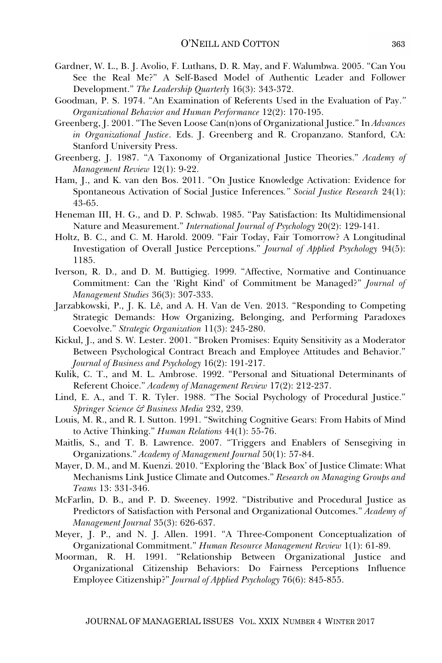- Gardner, W. L., B. J. Avolio, F. Luthans, D. R. May, and F. Walumbwa. 2005. "Can You See the Real Me?" A Self-Based Model of Authentic Leader and Follower Development." *The Leadership Quarterly* 16(3): 343-372.
- Goodman, P. S. 1974. "An Examination of Referents Used in the Evaluation of Pay.*" Organizational Behavior and Human Performance* 12(2): 170-195.
- Greenberg, J. 2001. "The Seven Loose Can(n)ons of Organizational Justice." In *Advances in Organizational Justice*. Eds. J. Greenberg and R. Cropanzano. Stanford, CA: Stanford University Press.
- Greenberg, J. 1987. "A Taxonomy of Organizational Justice Theories." *Academy of Management Review* 12(1): 9-22.
- Ham, J., and K. van den Bos. 2011. "On Justice Knowledge Activation: Evidence for Spontaneous Activation of Social Justice Inferences*." Social Justice Research* 24(1): 43-65.
- Heneman III, H. G., and D. P. Schwab. 1985. "Pay Satisfaction: Its Multidimensional Nature and Measurement." *International Journal of Psychology* 20(2): 129-141.
- Holtz, B. C., and C. M. Harold. 2009. "Fair Today, Fair Tomorrow? A Longitudinal Investigation of Overall Justice Perceptions." *Journal of Applied Psychology* 94(5): 1185.
- Iverson, R. D., and D. M. Buttigieg. 1999. "Affective, Normative and Continuance Commitment: Can the 'Right Kind' of Commitment be Managed?" *Journal of Management Studies* 36(3): 307-333.
- Jarzabkowski, P., J. K. Lê, and A. H. Van de Ven. 2013. "Responding to Competing Strategic Demands: How Organizing, Belonging, and Performing Paradoxes Coevolve." *Strategic Organization* 11(3): 245-280.
- Kickul, J., and S. W. Lester. 2001. "Broken Promises: Equity Sensitivity as a Moderator Between Psychological Contract Breach and Employee Attitudes and Behavior." *Journal of Business and Psychology* 16(2): 191-217.
- Kulik, C. T., and M. L. Ambrose. 1992. "Personal and Situational Determinants of Referent Choice." *Academy of Management Review* 17(2): 212-237.
- Lind, E. A., and T. R. Tyler. 1988. "The Social Psychology of Procedural Justice." *Springer Science & Business Media* 232, 239.
- Louis, M. R., and R. I. Sutton. 1991. "Switching Cognitive Gears: From Habits of Mind to Active Thinking." *Human Relations* 44(1): 55-76.
- Maitlis, S., and T. B. Lawrence. 2007. "Triggers and Enablers of Sensegiving in Organizations." *Academy of Management Journal* 50(1): 57-84.
- Mayer, D. M., and M. Kuenzi. 2010. "Exploring the 'Black Box' of Justice Climate: What Mechanisms Link Justice Climate and Outcomes." *Research on Managing Groups and Teams* 13: 331-346.
- McFarlin, D. B., and P. D. Sweeney. 1992. "Distributive and Procedural Justice as Predictors of Satisfaction with Personal and Organizational Outcomes." *Academy of Management Journal* 35(3): 626-637.
- Meyer, J. P., and N. J. Allen. 1991. "A Three-Component Conceptualization of Organizational Commitment." *Human Resource Management Review* 1(1): 61-89.
- Moorman, R. H. 1991. "Relationship Between Organizational Justice and Organizational Citizenship Behaviors: Do Fairness Perceptions Influence Employee Citizenship?" *Journal of Applied Psychology* 76(6): 845-855.